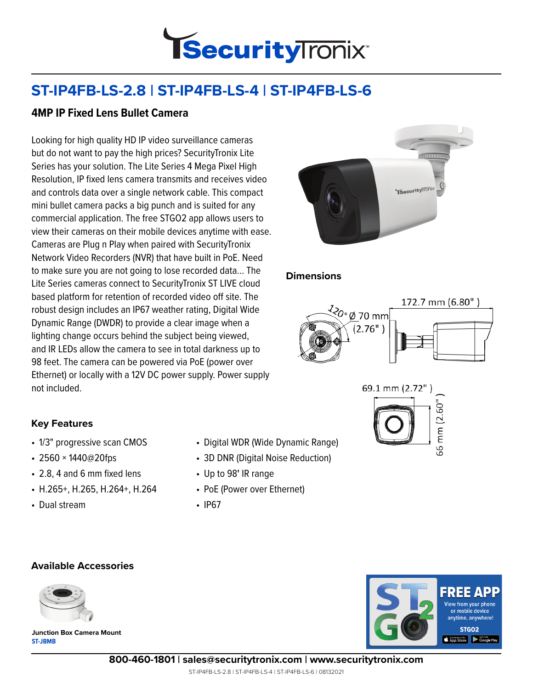

# **ST-IP4FB-LS-2.8 | ST-IP4FB-LS-4 | ST-IP4FB-LS-6**

## **4MP IP Fixed Lens Bullet Camera**

Looking for high quality HD IP video surveillance cameras but do not want to pay the high prices? SecurityTronix Lite Series has your solution. The Lite Series 4 Mega Pixel High Resolution, IP fixed lens camera transmits and receives video and controls data over a single network cable. This compact mini bullet camera packs a big punch and is suited for any commercial application. The free STGO2 app allows users to view their cameras on their mobile devices anytime with ease. Cameras are Plug n Play when paired with SecurityTronix Network Video Recorders (NVR) that have built in PoE. Need to make sure you are not going to lose recorded data… The Lite Series cameras connect to SecurityTronix ST LIVE cloud based platform for retention of recorded video off site. The robust design includes an IP67 weather rating, Digital Wide Dynamic Range (DWDR) to provide a clear image when a lighting change occurs behind the subject being viewed, and IR LEDs allow the camera to see in total darkness up to 98 feet. The camera can be powered via PoE (power over Ethernet) or locally with a 12V DC power supply. Power supply not included.



#### **Dimensions**





### **Key Features**

- 1/3" progressive scan CMOS
- 2560 × 1440@20fps
- 2.8, 4 and 6 mm fixed lens
- H.265+, H.265, H.264+, H.264
- Dual stream
- Digital WDR (Wide Dynamic Range)
- 3D DNR (Digital Noise Reduction)
- Up to 98**'** IR range
- PoE (Power over Ethernet)
- IP67

#### **Available Accessories**



**ST-JBMB Junction Box Camera Mount**



**800-460-1801 | sales@securitytronix.com | www.securitytronix.com**